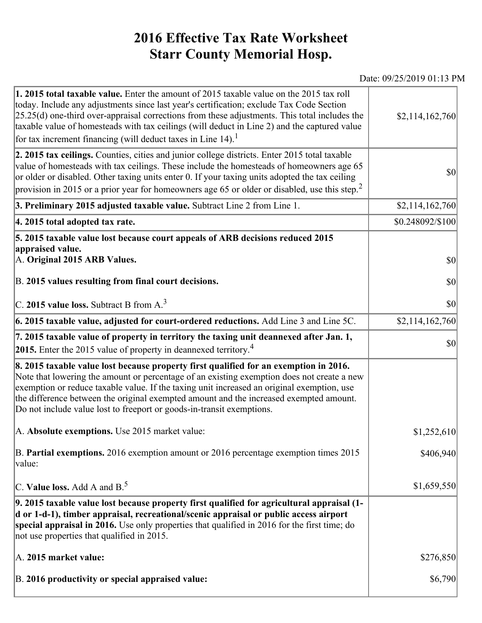## **2016 Effective Tax Rate Worksheet Starr County Memorial Hosp.**

## Date: 09/25/2019 01:13 PM

| 1. 2015 total taxable value. Enter the amount of 2015 taxable value on the 2015 tax roll<br>today. Include any adjustments since last year's certification; exclude Tax Code Section<br>$[25.25(d)$ one-third over-appraisal corrections from these adjustments. This total includes the<br>taxable value of homesteads with tax ceilings (will deduct in Line 2) and the captured value<br>for tax increment financing (will deduct taxes in Line $14$ ). <sup>1</sup> | \$2,114,162,760   |
|-------------------------------------------------------------------------------------------------------------------------------------------------------------------------------------------------------------------------------------------------------------------------------------------------------------------------------------------------------------------------------------------------------------------------------------------------------------------------|-------------------|
| 2. 2015 tax ceilings. Counties, cities and junior college districts. Enter 2015 total taxable<br>value of homesteads with tax ceilings. These include the homesteads of homeowners age 65<br>or older or disabled. Other taxing units enter 0. If your taxing units adopted the tax ceiling<br>provision in 2015 or a prior year for homeowners age 65 or older or disabled, use this step. <sup>2</sup>                                                                | 30                |
| 3. Preliminary 2015 adjusted taxable value. Subtract Line 2 from Line 1.                                                                                                                                                                                                                                                                                                                                                                                                | \$2,114,162,760   |
| 4. 2015 total adopted tax rate.                                                                                                                                                                                                                                                                                                                                                                                                                                         | \$0.248092/\$100  |
| 5. 2015 taxable value lost because court appeals of ARB decisions reduced 2015<br>appraised value.<br>A. Original 2015 ARB Values.<br>B. 2015 values resulting from final court decisions.                                                                                                                                                                                                                                                                              | <b>\$0</b><br> 30 |
| C. 2015 value loss. Subtract B from $A3$                                                                                                                                                                                                                                                                                                                                                                                                                                | \$0               |
| $\vert$ 6. 2015 taxable value, adjusted for court-ordered reductions. Add Line 3 and Line 5C.                                                                                                                                                                                                                                                                                                                                                                           | \$2,114,162,760   |
| 7. 2015 taxable value of property in territory the taxing unit deannexed after Jan. 1,<br>2015. Enter the 2015 value of property in deannexed territory. <sup>4</sup>                                                                                                                                                                                                                                                                                                   | 30                |
| 8. 2015 taxable value lost because property first qualified for an exemption in 2016.<br>Note that lowering the amount or percentage of an existing exemption does not create a new<br>exemption or reduce taxable value. If the taxing unit increased an original exemption, use<br>the difference between the original exempted amount and the increased exempted amount.<br>Do not include value lost to freeport or goods-in-transit exemptions.                    |                   |
| A. Absolute exemptions. Use 2015 market value:                                                                                                                                                                                                                                                                                                                                                                                                                          | \$1,252,610       |
| B. Partial exemptions. 2016 exemption amount or 2016 percentage exemption times 2015<br>value:                                                                                                                                                                                                                                                                                                                                                                          | \$406,940         |
| C. Value loss. Add A and $B^5$                                                                                                                                                                                                                                                                                                                                                                                                                                          | \$1,659,550       |
| 9. 2015 taxable value lost because property first qualified for agricultural appraisal (1-<br>d or 1-d-1), timber appraisal, recreational/scenic appraisal or public access airport<br>special appraisal in 2016. Use only properties that qualified in 2016 for the first time; do<br>not use properties that qualified in 2015.                                                                                                                                       |                   |
| A. 2015 market value:                                                                                                                                                                                                                                                                                                                                                                                                                                                   | \$276,850         |
| B. 2016 productivity or special appraised value:                                                                                                                                                                                                                                                                                                                                                                                                                        | \$6,790           |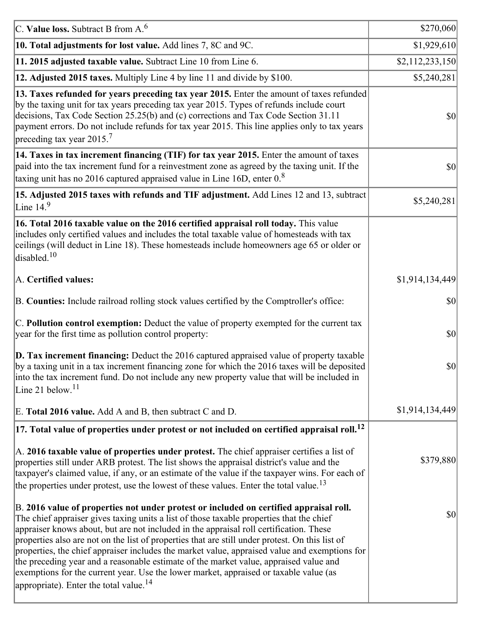| C. Value loss. Subtract B from $A6$                                                                                                                                                                                                                                                                                                                                                                                                                                                                                                                                                                                                                                                                                      | \$270,060       |
|--------------------------------------------------------------------------------------------------------------------------------------------------------------------------------------------------------------------------------------------------------------------------------------------------------------------------------------------------------------------------------------------------------------------------------------------------------------------------------------------------------------------------------------------------------------------------------------------------------------------------------------------------------------------------------------------------------------------------|-----------------|
| 10. Total adjustments for lost value. Add lines 7, 8C and 9C.                                                                                                                                                                                                                                                                                                                                                                                                                                                                                                                                                                                                                                                            | \$1,929,610     |
| 11. 2015 adjusted taxable value. Subtract Line 10 from Line 6.                                                                                                                                                                                                                                                                                                                                                                                                                                                                                                                                                                                                                                                           | \$2,112,233,150 |
| 12. Adjusted 2015 taxes. Multiply Line 4 by line 11 and divide by \$100.                                                                                                                                                                                                                                                                                                                                                                                                                                                                                                                                                                                                                                                 | \$5,240,281     |
| 13. Taxes refunded for years preceding tax year 2015. Enter the amount of taxes refunded<br>by the taxing unit for tax years preceding tax year 2015. Types of refunds include court<br>decisions, Tax Code Section 25.25(b) and (c) corrections and Tax Code Section 31.11<br>payment errors. Do not include refunds for tax year 2015. This line applies only to tax years<br>preceding tax year 2015. <sup>7</sup>                                                                                                                                                                                                                                                                                                    | $ 10\rangle$    |
| 14. Taxes in tax increment financing (TIF) for tax year 2015. Enter the amount of taxes<br>paid into the tax increment fund for a reinvestment zone as agreed by the taxing unit. If the<br>taxing unit has no 2016 captured appraised value in Line 16D, enter $08$                                                                                                                                                                                                                                                                                                                                                                                                                                                     | $ 10\rangle$    |
| 15. Adjusted 2015 taxes with refunds and TIF adjustment. Add Lines 12 and 13, subtract<br>Line $149$                                                                                                                                                                                                                                                                                                                                                                                                                                                                                                                                                                                                                     | \$5,240,281     |
| 16. Total 2016 taxable value on the 2016 certified appraisal roll today. This value<br>includes only certified values and includes the total taxable value of homesteads with tax<br>ceilings (will deduct in Line 18). These homesteads include homeowners age 65 or older or<br>disabled. <sup>10</sup>                                                                                                                                                                                                                                                                                                                                                                                                                |                 |
| A. Certified values:                                                                                                                                                                                                                                                                                                                                                                                                                                                                                                                                                                                                                                                                                                     | \$1,914,134,449 |
| B. Counties: Include railroad rolling stock values certified by the Comptroller's office:                                                                                                                                                                                                                                                                                                                                                                                                                                                                                                                                                                                                                                | \$0             |
| C. Pollution control exemption: Deduct the value of property exempted for the current tax<br>year for the first time as pollution control property:                                                                                                                                                                                                                                                                                                                                                                                                                                                                                                                                                                      | $ 10\rangle$    |
| $\vert$ D. Tax increment financing: Deduct the 2016 captured appraised value of property taxable<br>by a taxing unit in a tax increment financing zone for which the 2016 taxes will be deposited<br>into the tax increment fund. Do not include any new property value that will be included in<br>Line 21 below. <sup>11</sup>                                                                                                                                                                                                                                                                                                                                                                                         | \$0             |
| E. Total 2016 value. Add A and B, then subtract C and D.                                                                                                                                                                                                                                                                                                                                                                                                                                                                                                                                                                                                                                                                 | \$1,914,134,449 |
| $ 17.$ Total value of properties under protest or not included on certified appraisal roll. $^{12}$                                                                                                                                                                                                                                                                                                                                                                                                                                                                                                                                                                                                                      |                 |
| A. 2016 taxable value of properties under protest. The chief appraiser certifies a list of<br>properties still under ARB protest. The list shows the appraisal district's value and the<br>taxpayer's claimed value, if any, or an estimate of the value if the taxpayer wins. For each of<br>the properties under protest, use the lowest of these values. Enter the total value. <sup>13</sup>                                                                                                                                                                                                                                                                                                                         | \$379,880       |
| B. 2016 value of properties not under protest or included on certified appraisal roll.<br>The chief appraiser gives taxing units a list of those taxable properties that the chief<br>appraiser knows about, but are not included in the appraisal roll certification. These<br>properties also are not on the list of properties that are still under protest. On this list of<br>properties, the chief appraiser includes the market value, appraised value and exemptions for<br>the preceding year and a reasonable estimate of the market value, appraised value and<br>exemptions for the current year. Use the lower market, appraised or taxable value (as<br>appropriate). Enter the total value. <sup>14</sup> | \$0             |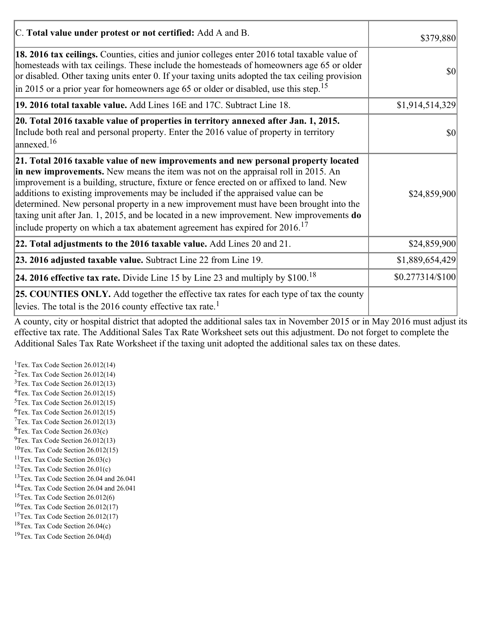| C. Total value under protest or not certified: Add A and B.                                                                                                                                                                                                                                                                                                                                                                                                                                                                                                                                                                                  | \$379,880         |
|----------------------------------------------------------------------------------------------------------------------------------------------------------------------------------------------------------------------------------------------------------------------------------------------------------------------------------------------------------------------------------------------------------------------------------------------------------------------------------------------------------------------------------------------------------------------------------------------------------------------------------------------|-------------------|
| 18. 2016 tax ceilings. Counties, cities and junior colleges enter 2016 total taxable value of<br>homesteads with tax ceilings. These include the homesteads of homeowners age 65 or older<br>or disabled. Other taxing units enter 0. If your taxing units adopted the tax ceiling provision<br>in 2015 or a prior year for homeowners age 65 or older or disabled, use this step. <sup>15</sup>                                                                                                                                                                                                                                             | \$0               |
| 19. 2016 total taxable value. Add Lines 16E and 17C. Subtract Line 18.                                                                                                                                                                                                                                                                                                                                                                                                                                                                                                                                                                       | \$1,914,514,329   |
| 20. Total 2016 taxable value of properties in territory annexed after Jan. 1, 2015.<br>Include both real and personal property. Enter the 2016 value of property in territory<br>$\text{lanned}$ . <sup>16</sup>                                                                                                                                                                                                                                                                                                                                                                                                                             | $ 10\rangle$      |
| 21. Total 2016 taxable value of new improvements and new personal property located<br>in new improvements. New means the item was not on the appraisal roll in 2015. An<br>improvement is a building, structure, fixture or fence erected on or affixed to land. New<br>additions to existing improvements may be included if the appraised value can be<br>determined. New personal property in a new improvement must have been brought into the<br>taxing unit after Jan. 1, 2015, and be located in a new improvement. New improvements do<br>include property on which a tax abatement agreement has expired for $2016$ . <sup>17</sup> | \$24,859,900      |
| 22. Total adjustments to the 2016 taxable value. Add Lines 20 and 21.                                                                                                                                                                                                                                                                                                                                                                                                                                                                                                                                                                        | \$24,859,900      |
| 23. 2016 adjusted taxable value. Subtract Line 22 from Line 19.                                                                                                                                                                                                                                                                                                                                                                                                                                                                                                                                                                              | \$1,889,654,429   |
| <b>24. 2016 effective tax rate.</b> Divide Line 15 by Line 23 and multiply by $$100$ . <sup>18</sup>                                                                                                                                                                                                                                                                                                                                                                                                                                                                                                                                         | $$0.277314/\$100$ |
| <b>25. COUNTIES ONLY.</b> Add together the effective tax rates for each type of tax the county<br>levies. The total is the 2016 county effective tax rate. <sup>1</sup>                                                                                                                                                                                                                                                                                                                                                                                                                                                                      |                   |

A county, city or hospital district that adopted the additional sales tax in November 2015 or in May 2016 must adjust its effective tax rate. The Additional Sales Tax Rate Worksheet sets out this adjustment. Do not forget to complete the Additional Sales Tax Rate Worksheet if the taxing unit adopted the additional sales tax on these dates.

<sup>1</sup>Tex. Tax Code Section  $26.012(14)$ <sup>2</sup>Tex. Tax Code Section  $26.012(14)$  $3$ Tex. Tax Code Section 26.012(13)  ${}^{4}$ Tex. Tax Code Section 26.012(15)  $5$ Tex. Tax Code Section 26.012(15)  ${}^{6}$ Tex. Tax Code Section 26.012(15)  $7$ Tex. Tax Code Section 26.012(13)  ${}^{8}$ Tex. Tax Code Section 26.03(c)  $^{9}$ Tex. Tax Code Section 26.012(13)  $10$ Tex. Tax Code Section 26.012(15) <sup>11</sup>Tex. Tax Code Section  $26.03(c)$ <sup>12</sup>Tex. Tax Code Section  $26.01(c)$ <sup>13</sup>Tex. Tax Code Section 26.04 and 26.041 <sup>14</sup>Tex. Tax Code Section 26.04 and 26.041 <sup>15</sup>Tex. Tax Code Section  $26.012(6)$  $16$ Tex. Tax Code Section 26.012(17) <sup>17</sup>Tex. Tax Code Section  $26.012(17)$ <sup>18</sup>Tex. Tax Code Section 26.04(c) <sup>19</sup>Tex. Tax Code Section 26.04(d)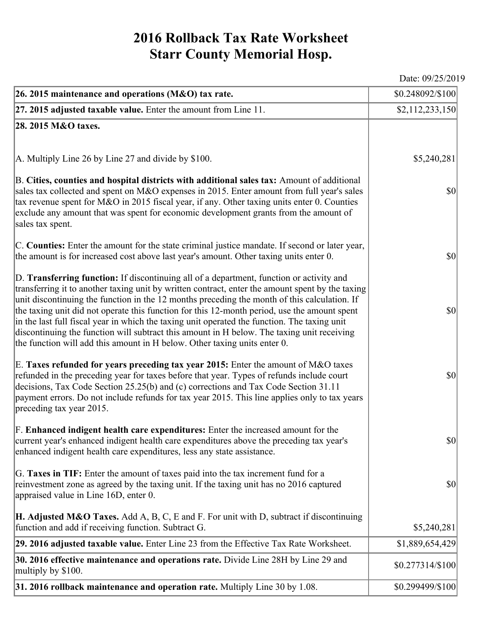## **2016 Rollback Tax Rate Worksheet Starr County Memorial Hosp.**

**26. 2015 maintenance and operations (M&O) tax rate.**  $$0.248092/\$100$ 

**27. 2015 adjusted taxable value.** Enter the amount from Line 11. \$2,112,233,150 **28. 2015 M&O taxes.** A. Multiply Line 26 by Line 27 and divide by \$100. B. **Cities, counties and hospital districts with additional sales tax:** Amount of additional sales tax collected and spent on M&O expenses in 2015. Enter amount from full year's sales tax revenue spent for M&O in 2015 fiscal year, if any. Other taxing units enter 0. Counties exclude any amount that was spent for economic development grants from the amount of sales tax spent. C. **Counties:** Enter the amount for the state criminal justice mandate. If second or later year, the amount is for increased cost above last year's amount. Other taxing units enter 0. D. **Transferring function:** If discontinuing all of a department, function or activity and transferring it to another taxing unit by written contract, enter the amount spent by the taxing unit discontinuing the function in the 12 months preceding the month of this calculation. If the taxing unit did not operate this function for this 12-month period, use the amount spent in the last full fiscal year in which the taxing unit operated the function. The taxing unit discontinuing the function will subtract this amount in H below. The taxing unit receiving the function will add this amount in H below. Other taxing units enter 0. E. **Taxes refunded for years preceding tax year 2015:** Enter the amount of M&O taxes refunded in the preceding year for taxes before that year. Types of refunds include court decisions, Tax Code Section 25.25(b) and (c) corrections and Tax Code Section 31.11 payment errors. Do not include refunds for tax year 2015. This line applies only to tax years preceding tax year 2015. F. **Enhanced indigent health care expenditures:** Enter the increased amount for the current year's enhanced indigent health care expenditures above the preceding tax year's enhanced indigent health care expenditures, less any state assistance. G. **Taxes in TIF:** Enter the amount of taxes paid into the tax increment fund for a reinvestment zone as agreed by the taxing unit. If the taxing unit has no 2016 captured appraised value in Line 16D, enter 0. **H. Adjusted M&O Taxes.** Add A, B, C, E and F. For unit with D, subtract if discontinuing function and add if receiving function. Subtract G. \$5,240,281 \$0 \$0 \$0 \$0 \$0 \$0 \$5,240,281 **29. 2016 adjusted taxable value.** Enter Line 23 from the Effective Tax Rate Worksheet. \$1,889,654,429 **30. 2016 effective maintenance and operations rate.** Divide Line 28H by Line 29 and \$0.277314/\$100 multiply by \$100. **31. 2016 rollback maintenance and operation rate.** Multiply Line 30 by 1.08.  $\vert$  \$0.299499/\$100

Date: 09/25/2019